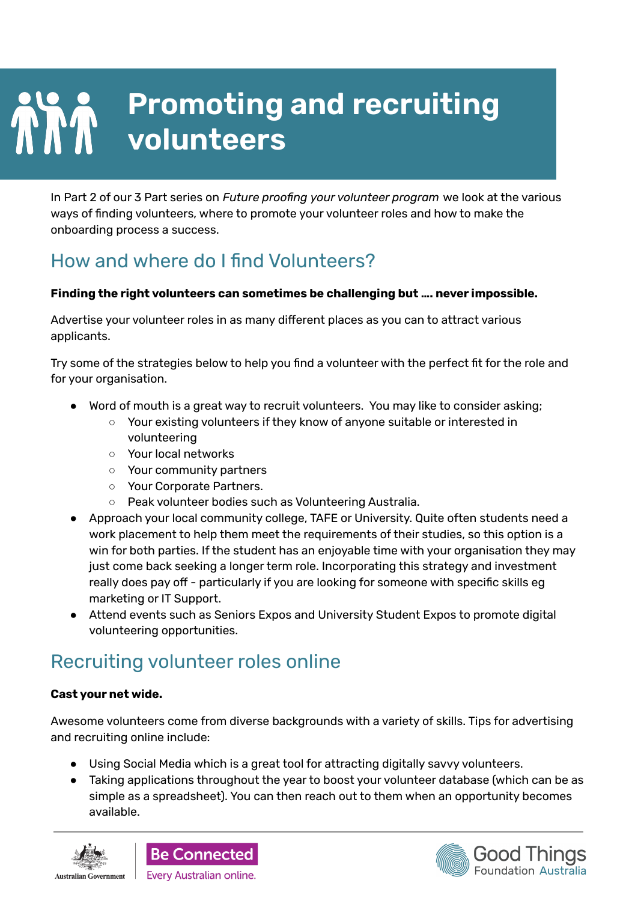# **Promoting and recruiting A Promoting**

In Part 2 of our 3 Part series on *Future proofing your volunteer program* we look at the various ways of finding volunteers, where to promote your volunteer roles and how to make the onboarding process a success.

## How and where do I find Volunteers?

#### **Finding the right volunteers can sometimes be challenging but …. never impossible.**

Advertise your volunteer roles in as many different places as you can to attract various applicants.

Try some of the strategies below to help you find a volunteer with the perfect fit for the role and for your organisation.

- Word of mouth is a great way to recruit volunteers. You may like to consider asking;
	- Your existing volunteers if they know of anyone suitable or interested in volunteering
	- Your local networks
	- Your community partners
	- Your Corporate Partners.
	- Peak volunteer bodies such as Volunteering Australia.
- Approach your local community college, TAFE or University. Quite often students need a work placement to help them meet the requirements of their studies, so this option is a win for both parties. If the student has an enjoyable time with your organisation they may just come back seeking a longer term role. Incorporating this strategy and investment really does pay off - particularly if you are looking for someone with specific skills eg marketing or IT Support.
- Attend events such as Seniors Expos and University Student Expos to promote digital volunteering opportunities.

### Recruiting volunteer roles online

#### **Cast your net wide.**

Awesome volunteers come from diverse backgrounds with a variety of skills. Tips for advertising and recruiting online include:

- Using Social Media which is a great tool for attracting digitally savvy volunteers.
- Taking applications throughout the year to boost your volunteer database (which can be as simple as a spreadsheet). You can then reach out to them when an opportunity becomes available.





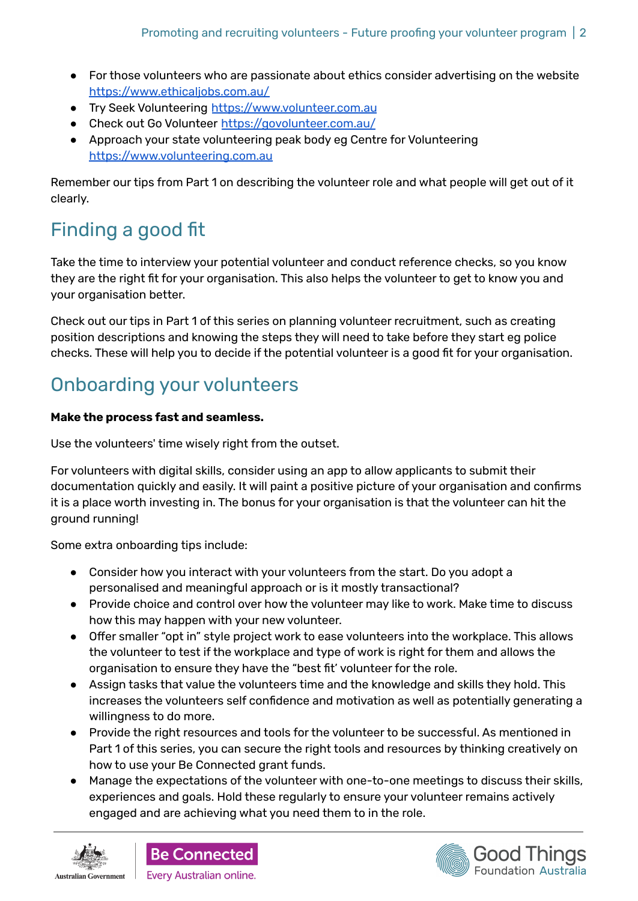- For those volunteers who are passionate about ethics consider advertising on the website https://www.ethicaliobs.com.au/
- Try Seek Volunteering [https://www.volunteer.com.au](https://www.volunteer.com.au/?tracking=SKMAU:main+header)
- Check out Go Volunteer <https://govolunteer.com.au/>
- Approach your state volunteering peak body eg Centre for Volunteering <https://www.volunteering.com.au>

Remember our tips from Part 1 on describing the volunteer role and what people will get out of it clearly.

# Finding a good fit

Take the time to interview your potential volunteer and conduct reference checks, so you know they are the right fit for your organisation. This also helps the volunteer to get to know you and your organisation better.

Check out our tips in Part 1 of this series on planning volunteer recruitment, such as creating position descriptions and knowing the steps they will need to take before they start eg police checks. These will help you to decide if the potential volunteer is a good fit for your organisation.

## Onboarding your volunteers

#### **Make the process fast and seamless.**

Use the volunteers' time wisely right from the outset.

For volunteers with digital skills, consider using an app to allow applicants to submit their documentation quickly and easily. It will paint a positive picture of your organisation and confirms it is a place worth investing in. The bonus for your organisation is that the volunteer can hit the ground running!

Some extra onboarding tips include:

- Consider how you interact with your volunteers from the start. Do you adopt a personalised and meaningful approach or is it mostly transactional?
- Provide choice and control over how the volunteer may like to work. Make time to discuss how this may happen with your new volunteer.
- Offer smaller "opt in" style project work to ease volunteers into the workplace. This allows the volunteer to test if the workplace and type of work is right for them and allows the organisation to ensure they have the "best fit' volunteer for the role.
- Assign tasks that value the volunteers time and the knowledge and skills they hold. This increases the volunteers self confidence and motivation as well as potentially generating a willingness to do more.
- Provide the right resources and tools for the volunteer to be successful. As mentioned in Part 1 of this series, you can secure the right tools and resources by thinking creatively on how to use your Be Connected grant funds.
- Manage the expectations of the volunteer with one-to-one meetings to discuss their skills, experiences and goals. Hold these regularly to ensure your volunteer remains actively engaged and are achieving what you need them to in the role.